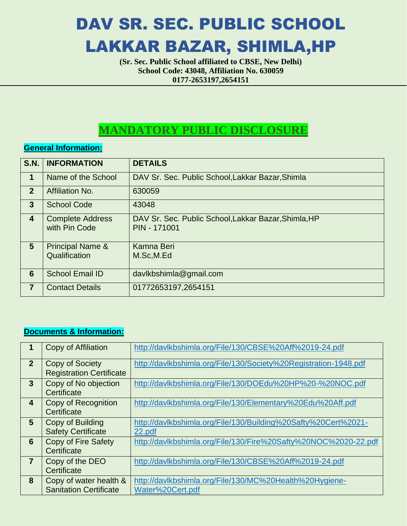# DAV SR. SEC. PUBLIC SCHOOL LAKKAR BAZAR, SHIMLA,HP

**(Sr. Sec. Public School affiliated to CBSE, New Delhi) School Code: 43048, Affiliation No. 630059 0177-2653197,2654151**

## **MANDATORY PUBLIC DISCLOSURE**

#### **General Information:**

| <b>S.N.</b>             | <b>INFORMATION</b>                           | <b>DETAILS</b>                                                              |
|-------------------------|----------------------------------------------|-----------------------------------------------------------------------------|
| $\mathbf 1$             | Name of the School                           | DAV Sr. Sec. Public School, Lakkar Bazar, Shimla                            |
| $\overline{2}$          | <b>Affiliation No.</b>                       | 630059                                                                      |
| $\mathbf{3}$            | <b>School Code</b>                           | 43048                                                                       |
| $\overline{\mathbf{4}}$ | <b>Complete Address</b><br>with Pin Code     | DAV Sr. Sec. Public School, Lakkar Bazar, Shimla, HP<br><b>PIN - 171001</b> |
| 5                       | <b>Principal Name &amp;</b><br>Qualification | Kamna Beri<br>M.Sc,M.Ed                                                     |
| 6                       | <b>School Email ID</b>                       | davlkbshimla@gmail.com                                                      |
| $\overline{7}$          | <b>Contact Details</b>                       | 01772653197,2654151                                                         |

#### **Documents & Information:**

|                | Copy of Affiliation                                       | http://davlkbshimla.org/File/130/CBSE%20Aff%2019-24.pdf                     |
|----------------|-----------------------------------------------------------|-----------------------------------------------------------------------------|
| $\overline{2}$ | <b>Copy of Society</b><br><b>Registration Certificate</b> | http://davlkbshimla.org/File/130/Society%20Registration-1948.pdf            |
| 3              | Copy of No objection<br>Certificate                       | http://davlkbshimla.org/File/130/DOEdu%20HP%20-%20NOC.pdf                   |
| 4              | Copy of Recognition<br>Certificate                        | http://davlkbshimla.org/File/130/Elementary%20Edu%20Aff.pdf                 |
| 5              | Copy of Building<br><b>Safety Certificate</b>             | http://davlkbshimla.org/File/130/Building%20Safty%20Cert%2021-<br>22.pdf    |
| 6              | Copy of Fire Safety<br>Certificate                        | http://davlkbshimla.org/File/130/Fire%20Safty%20NOC%2020-22.pdf             |
| 7              | Copy of the DEO<br>Certificate                            | http://davlkbshimla.org/File/130/CBSE%20Aff%2019-24.pdf                     |
| 8              | Copy of water health &<br><b>Sanitation Certificate</b>   | http://davlkbshimla.org/File/130/MC%20Health%20Hygiene-<br>Water%20Cert.pdf |